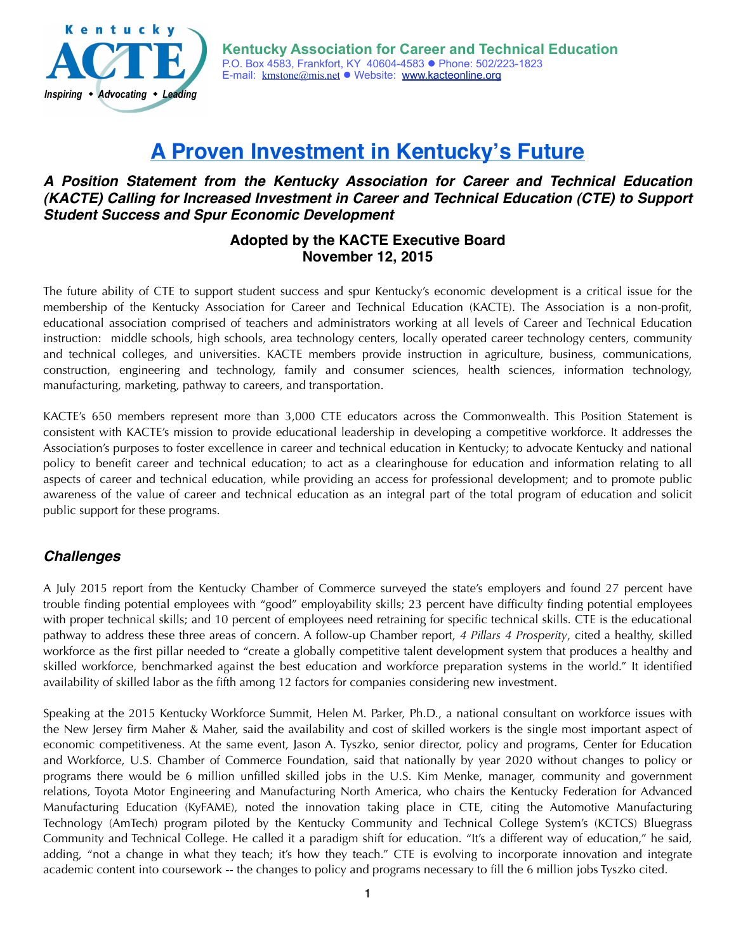

# **A Proven Investment in Kentucky's Future**

#### *A Position Statement from the Kentucky Association for Career and Technical Education (KACTE) Calling for Increased Investment in Career and Technical Education (CTE) to Support Student Success and Spur Economic Development*

### **Adopted by the KACTE Executive Board November 12, 2015**

The future ability of CTE to support student success and spur Kentucky's economic development is a critical issue for the membership of the Kentucky Association for Career and Technical Education (KACTE). The Association is a non-profit, educational association comprised of teachers and administrators working at all levels of Career and Technical Education instruction: middle schools, high schools, area technology centers, locally operated career technology centers, community and technical colleges, and universities. KACTE members provide instruction in agriculture, business, communications, construction, engineering and technology, family and consumer sciences, health sciences, information technology, manufacturing, marketing, pathway to careers, and transportation.

KACTE's 650 members represent more than 3,000 CTE educators across the Commonwealth. This Position Statement is consistent with KACTE's mission to provide educational leadership in developing a competitive workforce. It addresses the Association's purposes to foster excellence in career and technical education in Kentucky; to advocate Kentucky and national policy to benefit career and technical education; to act as a clearinghouse for education and information relating to all aspects of career and technical education, while providing an access for professional development; and to promote public awareness of the value of career and technical education as an integral part of the total program of education and solicit public support for these programs.

# *Challenges*

A July 2015 report from the Kentucky Chamber of Commerce surveyed the state's employers and found 27 percent have trouble finding potential employees with "good" employability skills; 23 percent have difficulty finding potential employees with proper technical skills; and 10 percent of employees need retraining for specific technical skills. CTE is the educational pathway to address these three areas of concern. A follow-up Chamber report, *4 Pillars 4 Prosperity*, cited a healthy, skilled workforce as the first pillar needed to "create a globally competitive talent development system that produces a healthy and skilled workforce, benchmarked against the best education and workforce preparation systems in the world." It identified availability of skilled labor as the fifth among 12 factors for companies considering new investment.

Speaking at the 2015 Kentucky Workforce Summit, Helen M. Parker, Ph.D., a national consultant on workforce issues with the New Jersey firm Maher & Maher, said the availability and cost of skilled workers is the single most important aspect of economic competitiveness. At the same event, Jason A. Tyszko, senior director, policy and programs, Center for Education and Workforce, U.S. Chamber of Commerce Foundation, said that nationally by year 2020 without changes to policy or programs there would be 6 million unfilled skilled jobs in the U.S. Kim Menke, manager, community and government relations, Toyota Motor Engineering and Manufacturing North America, who chairs the Kentucky Federation for Advanced Manufacturing Education (KyFAME), noted the innovation taking place in CTE, citing the Automotive Manufacturing Technology (AmTech) program piloted by the Kentucky Community and Technical College System's (KCTCS) Bluegrass Community and Technical College. He called it a paradigm shift for education. "It's a different way of education," he said, adding, "not a change in what they teach; it's how they teach." CTE is evolving to incorporate innovation and integrate academic content into coursework -- the changes to policy and programs necessary to fill the 6 million jobs Tyszko cited.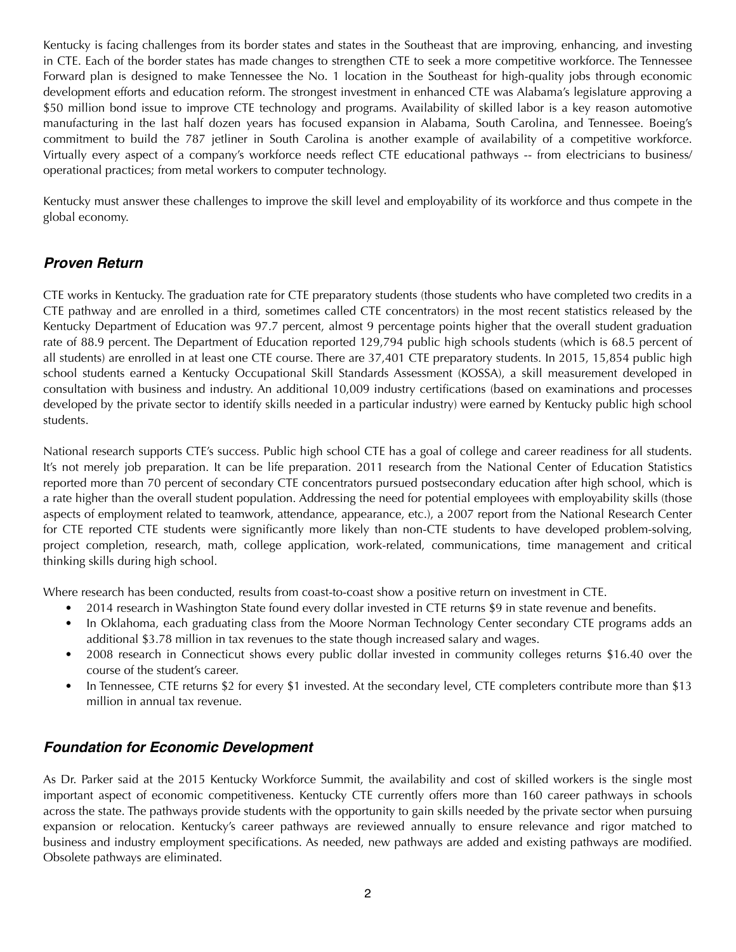Kentucky is facing challenges from its border states and states in the Southeast that are improving, enhancing, and investing in CTE. Each of the border states has made changes to strengthen CTE to seek a more competitive workforce. The Tennessee Forward plan is designed to make Tennessee the No. 1 location in the Southeast for high-quality jobs through economic development efforts and education reform. The strongest investment in enhanced CTE was Alabama's legislature approving a \$50 million bond issue to improve CTE technology and programs. Availability of skilled labor is a key reason automotive manufacturing in the last half dozen years has focused expansion in Alabama, South Carolina, and Tennessee. Boeing's commitment to build the 787 jetliner in South Carolina is another example of availability of a competitive workforce. Virtually every aspect of a company's workforce needs reflect CTE educational pathways -- from electricians to business/ operational practices; from metal workers to computer technology.

Kentucky must answer these challenges to improve the skill level and employability of its workforce and thus compete in the global economy.

### *Proven Return*

CTE works in Kentucky. The graduation rate for CTE preparatory students (those students who have completed two credits in a CTE pathway and are enrolled in a third, sometimes called CTE concentrators) in the most recent statistics released by the Kentucky Department of Education was 97.7 percent, almost 9 percentage points higher that the overall student graduation rate of 88.9 percent. The Department of Education reported 129,794 public high schools students (which is 68.5 percent of all students) are enrolled in at least one CTE course. There are 37,401 CTE preparatory students. In 2015, 15,854 public high school students earned a Kentucky Occupational Skill Standards Assessment (KOSSA), a skill measurement developed in consultation with business and industry. An additional 10,009 industry certifications (based on examinations and processes developed by the private sector to identify skills needed in a particular industry) were earned by Kentucky public high school students.

National research supports CTE's success. Public high school CTE has a goal of college and career readiness for all students. It's not merely job preparation. It can be life preparation. 2011 research from the National Center of Education Statistics reported more than 70 percent of secondary CTE concentrators pursued postsecondary education after high school, which is a rate higher than the overall student population. Addressing the need for potential employees with employability skills (those aspects of employment related to teamwork, attendance, appearance, etc.), a 2007 report from the National Research Center for CTE reported CTE students were significantly more likely than non-CTE students to have developed problem-solving, project completion, research, math, college application, work-related, communications, time management and critical thinking skills during high school.

Where research has been conducted, results from coast-to-coast show a positive return on investment in CTE.

- 2014 research in Washington State found every dollar invested in CTE returns \$9 in state revenue and benefits.
- In Oklahoma, each graduating class from the Moore Norman Technology Center secondary CTE programs adds an additional \$3.78 million in tax revenues to the state though increased salary and wages.
- 2008 research in Connecticut shows every public dollar invested in community colleges returns \$16.40 over the course of the student's career.
- In Tennessee, CTE returns \$2 for every \$1 invested. At the secondary level, CTE completers contribute more than \$13 million in annual tax revenue.

#### *Foundation for Economic Development*

As Dr. Parker said at the 2015 Kentucky Workforce Summit, the availability and cost of skilled workers is the single most important aspect of economic competitiveness. Kentucky CTE currently offers more than 160 career pathways in schools across the state. The pathways provide students with the opportunity to gain skills needed by the private sector when pursuing expansion or relocation. Kentucky's career pathways are reviewed annually to ensure relevance and rigor matched to business and industry employment specifications. As needed, new pathways are added and existing pathways are modified. Obsolete pathways are eliminated.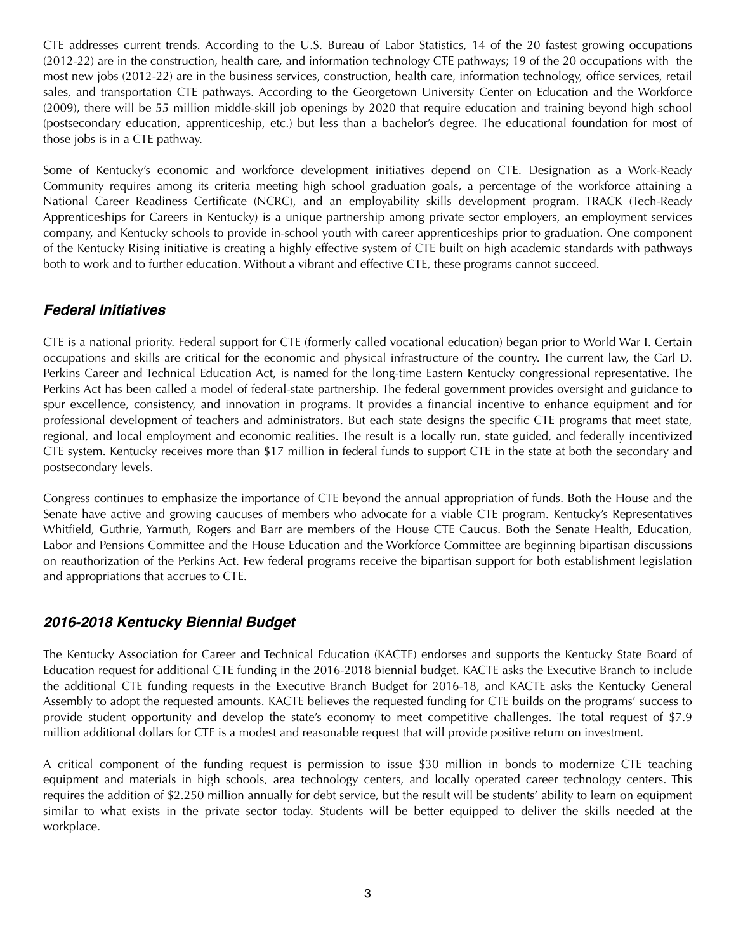CTE addresses current trends. According to the U.S. Bureau of Labor Statistics, 14 of the 20 fastest growing occupations (2012-22) are in the construction, health care, and information technology CTE pathways; 19 of the 20 occupations with the most new jobs (2012-22) are in the business services, construction, health care, information technology, office services, retail sales, and transportation CTE pathways. According to the Georgetown University Center on Education and the Workforce (2009), there will be 55 million middle-skill job openings by 2020 that require education and training beyond high school (postsecondary education, apprenticeship, etc.) but less than a bachelor's degree. The educational foundation for most of those jobs is in a CTE pathway.

Some of Kentucky's economic and workforce development initiatives depend on CTE. Designation as a Work-Ready Community requires among its criteria meeting high school graduation goals, a percentage of the workforce attaining a National Career Readiness Certificate (NCRC), and an employability skills development program. TRACK (Tech-Ready Apprenticeships for Careers in Kentucky) is a unique partnership among private sector employers, an employment services company, and Kentucky schools to provide in-school youth with career apprenticeships prior to graduation. One component of the Kentucky Rising initiative is creating a highly effective system of CTE built on high academic standards with pathways both to work and to further education. Without a vibrant and effective CTE, these programs cannot succeed.

### *Federal Initiatives*

CTE is a national priority. Federal support for CTE (formerly called vocational education) began prior to World War I. Certain occupations and skills are critical for the economic and physical infrastructure of the country. The current law, the Carl D. Perkins Career and Technical Education Act, is named for the long-time Eastern Kentucky congressional representative. The Perkins Act has been called a model of federal-state partnership. The federal government provides oversight and guidance to spur excellence, consistency, and innovation in programs. It provides a financial incentive to enhance equipment and for professional development of teachers and administrators. But each state designs the specific CTE programs that meet state, regional, and local employment and economic realities. The result is a locally run, state guided, and federally incentivized CTE system. Kentucky receives more than \$17 million in federal funds to support CTE in the state at both the secondary and postsecondary levels.

Congress continues to emphasize the importance of CTE beyond the annual appropriation of funds. Both the House and the Senate have active and growing caucuses of members who advocate for a viable CTE program. Kentucky's Representatives Whitfield, Guthrie, Yarmuth, Rogers and Barr are members of the House CTE Caucus. Both the Senate Health, Education, Labor and Pensions Committee and the House Education and the Workforce Committee are beginning bipartisan discussions on reauthorization of the Perkins Act. Few federal programs receive the bipartisan support for both establishment legislation and appropriations that accrues to CTE.

# *2016-2018 Kentucky Biennial Budget*

The Kentucky Association for Career and Technical Education (KACTE) endorses and supports the Kentucky State Board of Education request for additional CTE funding in the 2016-2018 biennial budget. KACTE asks the Executive Branch to include the additional CTE funding requests in the Executive Branch Budget for 2016-18, and KACTE asks the Kentucky General Assembly to adopt the requested amounts. KACTE believes the requested funding for CTE builds on the programs' success to provide student opportunity and develop the state's economy to meet competitive challenges. The total request of \$7.9 million additional dollars for CTE is a modest and reasonable request that will provide positive return on investment.

A critical component of the funding request is permission to issue \$30 million in bonds to modernize CTE teaching equipment and materials in high schools, area technology centers, and locally operated career technology centers. This requires the addition of \$2.250 million annually for debt service, but the result will be students' ability to learn on equipment similar to what exists in the private sector today. Students will be better equipped to deliver the skills needed at the workplace.